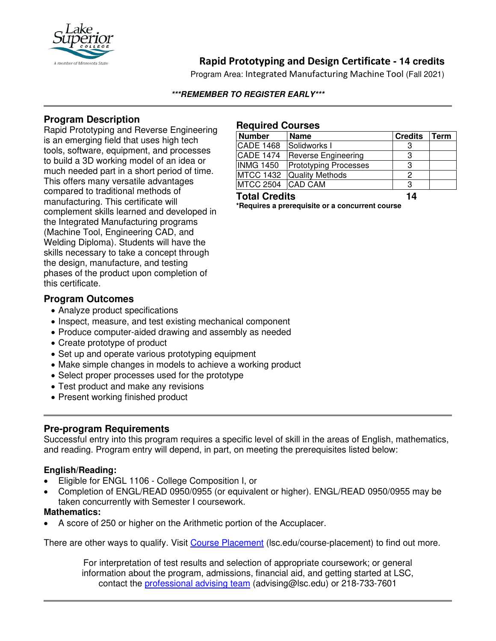

# **Rapid Prototyping and Design Certificate - 14 credits**

Program Area: Integrated Manufacturing Machine Tool (Fall 2021)

#### **\*\*\*REMEMBER TO REGISTER EARLY\*\*\***

## **Program Description**

Rapid Prototyping and Reverse Engineering is an emerging field that uses high tech tools, software, equipment, and processes to build a 3D working model of an idea or much needed part in a short period of time. This offers many versatile advantages compared to traditional methods of manufacturing. This certificate will complement skills learned and developed in the Integrated Manufacturing programs (Machine Tool, Engineering CAD, and Welding Diploma). Students will have the skills necessary to take a concept through the design, manufacture, and testing phases of the product upon completion of this certificate.

### **Program Outcomes**

- Analyze product specifications
- Inspect, measure, and test existing mechanical component
- Produce computer-aided drawing and assembly as needed
- Create prototype of product
- Set up and operate various prototyping equipment
- Make simple changes in models to achieve a working product
- Select proper processes used for the prototype
- Test product and make any revisions
- Present working finished product

## **Pre-program Requirements**

Successful entry into this program requires a specific level of skill in the areas of English, mathematics, and reading. Program entry will depend, in part, on meeting the prerequisites listed below:

#### **English/Reading:**

- Eligible for ENGL 1106 College Composition I, or
- Completion of ENGL/READ 0950/0955 (or equivalent or higher). ENGL/READ 0950/0955 may be taken concurrently with Semester I coursework.

#### **Mathematics:**

• A score of 250 or higher on the Arithmetic portion of the Accuplacer.

There are other ways to qualify. Visit [Course Placement](https://www.lsc.edu/course-placement/) (Isc.edu/course-placement) to find out more.

For interpretation of test results and selection of appropriate coursework; or general information about the program, admissions, financial aid, and getting started at LSC, contact the [professional advising team](mailto:advising@lsc.edu) (advising@lsc.edu) or 218-733-7601

#### **Required Courses**

| <b>Number</b>        | <b>Name</b>                  | <b>Credits</b> | Term |
|----------------------|------------------------------|----------------|------|
| <b>CADE 1468</b>     | Solidworks I                 | З              |      |
| <b>CADE 1474</b>     | <b>Reverse Engineering</b>   |                |      |
| <b>INMG 1450</b>     | <b>Prototyping Processes</b> | 3              |      |
|                      | MTCC 1432 Quality Methods    |                |      |
| MTCC 2504 CAD CAM    |                              | З              |      |
| <b>Total Credits</b> |                              | 14             |      |

**\*Requires a prerequisite or a concurrent course**